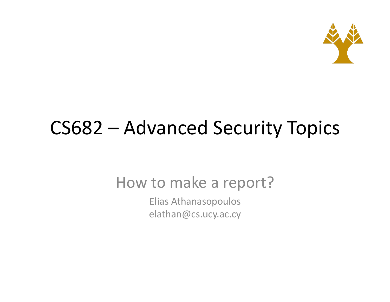

#### CS682 – Advanced Security Topics

How to make a report?

Elias Athanasopoulos elathan@cs.ucy.ac.cy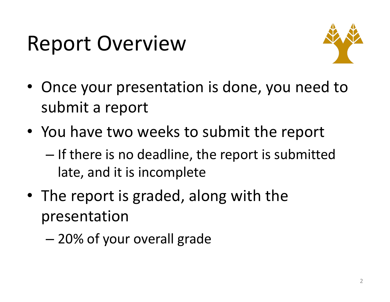# **Report Overview**



- Once your presentation is done, you need to submit a report
- You have two weeks to submit the report
	- $-$  If there is no deadline, the report is submitted late, and it is incomplete
- The report is graded, along with the presentation
	- $-$  20% of your overall grade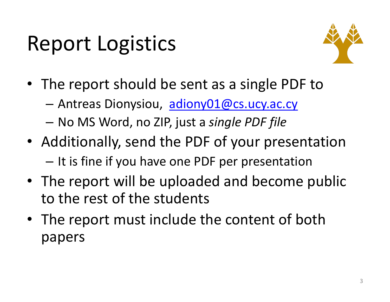# **Report Logistics**



- The report should be sent as a single PDF to
	- Antreas Dionysiou, adiony01@cs.ucy.ac.cy
	- No MS Word, no ZIP, just a *single PDF file*
- Additionally, send the PDF of your presentation  $-$  It is fine if you have one PDF per presentation
- The report will be uploaded and become public to the rest of the students
- The report must include the content of both papers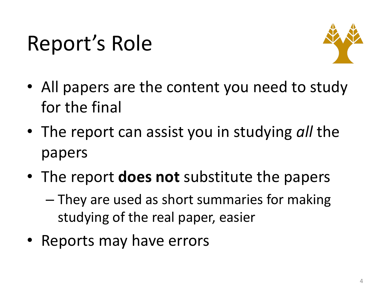# Report's Role



- All papers are the content you need to study for the final
- The report can assist you in studying *all* the papers
- The report **does not** substitute the papers
	- $-$  They are used as short summaries for making studying of the real paper, easier
- Reports may have errors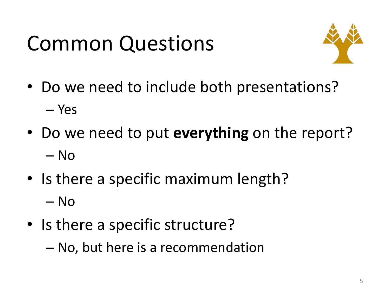# Common Questions



- Do we need to include both presentations? – Yes
- Do we need to put **everything** on the report? – No
- Is there a specific maximum length? – No
- Is there a specific structure?  $-$  No, but here is a recommendation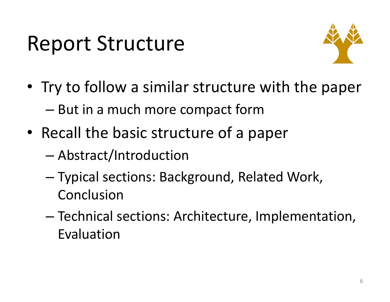### Report Structure



- Try to follow a similar structure with the paper  $-$  But in a much more compact form
- Recall the basic structure of a paper
	- Abstract/Introduction
	- Typical sections: Background, Related Work, Conclusion
	- Technical sections: Architecture, Implementation, Evaluation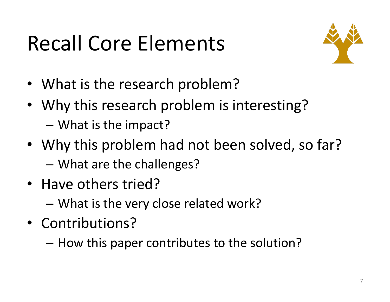# Recall Core Elements



- What is the research problem?
- Why this research problem is interesting?  $-$  What is the impact?
- Why this problem had not been solved, so far? – What are the challenges?
- Have others tried?
	- What is the very close related work?
- Contributions?
	- How this paper contributes to the solution?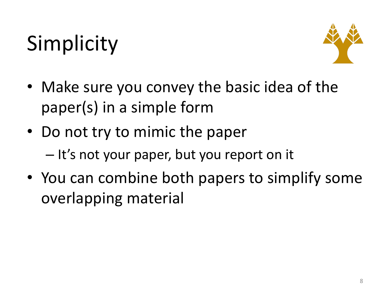# Simplicity



- Make sure you convey the basic idea of the paper(s) in a simple form
- Do not try to mimic the paper
	- $-$  It's not your paper, but you report on it
- You can combine both papers to simplify some overlapping material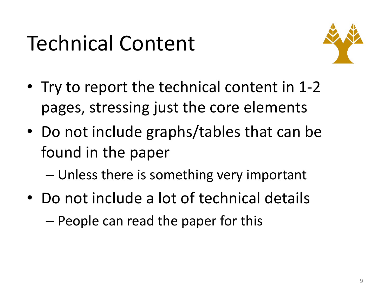# Technical Content



- Try to report the technical content in 1-2 pages, stressing just the core elements
- Do not include graphs/tables that can be found in the paper
	- Unless there is something very important
- Do not include a lot of technical details  $-$  People can read the paper for this